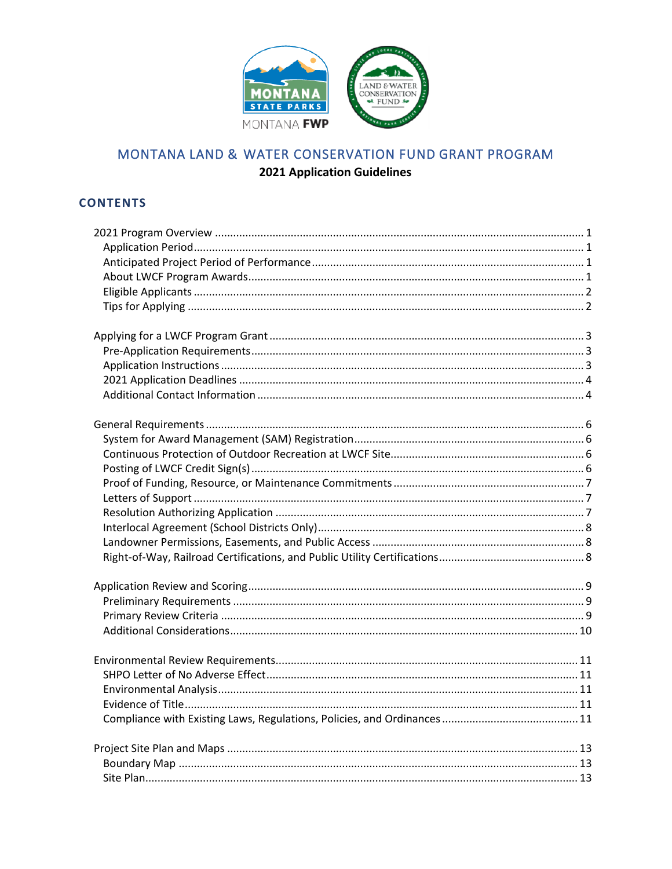

# MONTANA LAND & WATER CONSERVATION FUND GRANT PROGRAM **2021 Application Guidelines**

# **CONTENTS**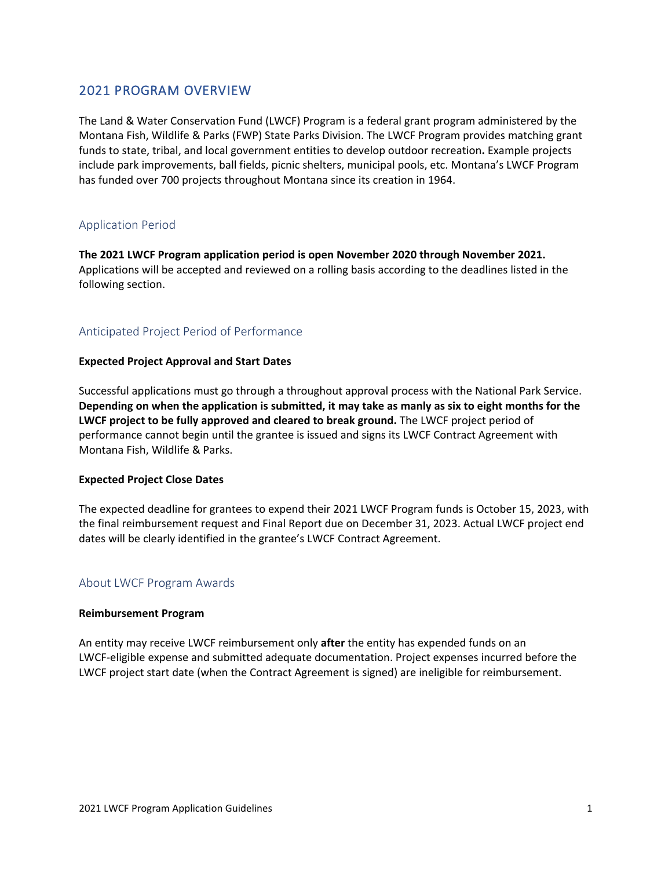# <span id="page-2-0"></span>2021 PROGRAM OVERVIEW

The Land & Water Conservation Fund (LWCF) Program is a federal grant program administered by the Montana Fish, Wildlife & Parks (FWP) State Parks Division. The LWCF Program provides matching grant funds to state, tribal, and local government entities to develop outdoor recreation**.** Example projects include park improvements, ball fields, picnic shelters, municipal pools, etc. Montana's LWCF Program has funded over 700 projects throughout Montana since its creation in 1964.

## <span id="page-2-1"></span>Application Period

**The 2021 LWCF Program application period is open November 2020 through November 2021.** Applications will be accepted and reviewed on a rolling basis according to the deadlines listed in the following section.

## <span id="page-2-2"></span>Anticipated Project Period of Performance

### **Expected Project Approval and Start Dates**

Successful applications must go through a throughout approval process with the National Park Service. **Depending on when the application is submitted, it may take as manly as six to eight months for the LWCF project to be fully approved and cleared to break ground.** The LWCF project period of performance cannot begin until the grantee is issued and signs its LWCF Contract Agreement with Montana Fish, Wildlife & Parks.

#### **Expected Project Close Dates**

The expected deadline for grantees to expend their 2021 LWCF Program funds is October 15, 2023, with the final reimbursement request and Final Report due on December 31, 2023. Actual LWCF project end dates will be clearly identified in the grantee's LWCF Contract Agreement.

### <span id="page-2-3"></span>About LWCF Program Awards

#### **Reimbursement Program**

An entity may receive LWCF reimbursement only **after** the entity has expended funds on an LWCF-eligible expense and submitted adequate documentation. Project expenses incurred before the LWCF project start date (when the Contract Agreement is signed) are ineligible for reimbursement.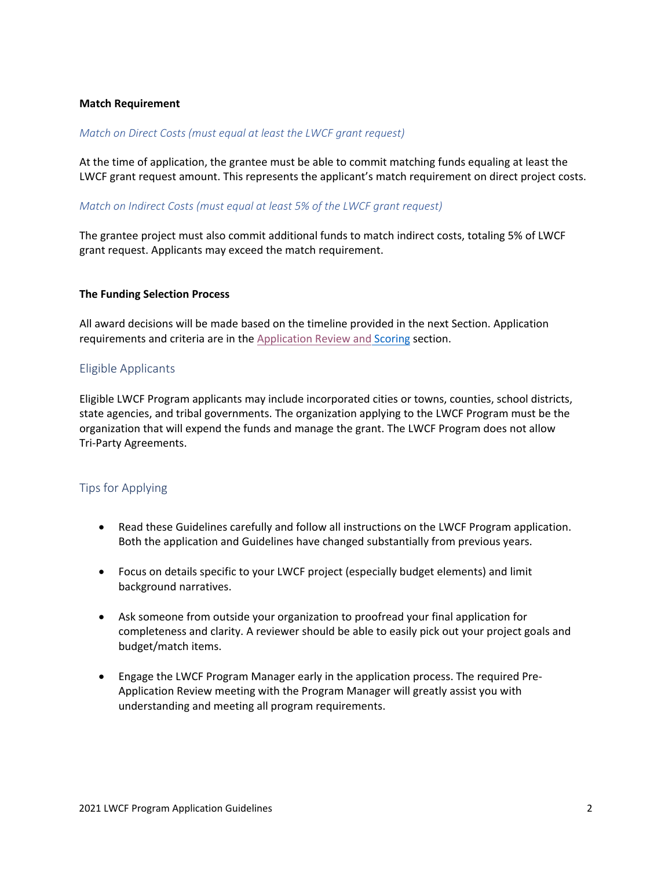### **Match Requirement**

### *Match on Direct Costs (must equal at least the LWCF grant request)*

At the time of application, the grantee must be able to commit matching funds equaling at least the LWCF grant request amount. This represents the applicant's match requirement on direct project costs.

### *Match on Indirect Costs (must equal at least 5% of the LWCF grant request)*

<span id="page-3-0"></span>The grantee project must also commit additional funds to match indirect costs, totaling 5% of LWCF grant request. Applicants may exceed the match requirement.

#### **The Funding Selection Process**

All award decisions will be made based on the timeline provided in the next Section. Application requirements and criteria are in the Application [Review and](#page-10-3) Scoring section.

### <span id="page-3-1"></span>Eligible Applicants

Eligible LWCF Program applicants may include incorporated cities or towns, counties, school districts, state agencies, and tribal governments. The organization applying to the LWCF Program must be the organization that will expend the funds and manage the grant. The LWCF Program does not allow Tri-Party Agreements.

### Tips for Applying

- Read these Guidelines carefully and follow all instructions on the LWCF Program application. Both the application and Guidelines have changed substantially from previous years.
- Focus on details specific to your LWCF project (especially budget elements) and limit background narratives.
- Ask someone from outside your organization to proofread your final application for completeness and clarity. A reviewer should be able to easily pick out your project goals and budget/match items.
- Engage the LWCF Program Manager early in the application process. The required Pre-Application Review meeting with the Program Manager will greatly assist you with understanding and meeting all program requirements.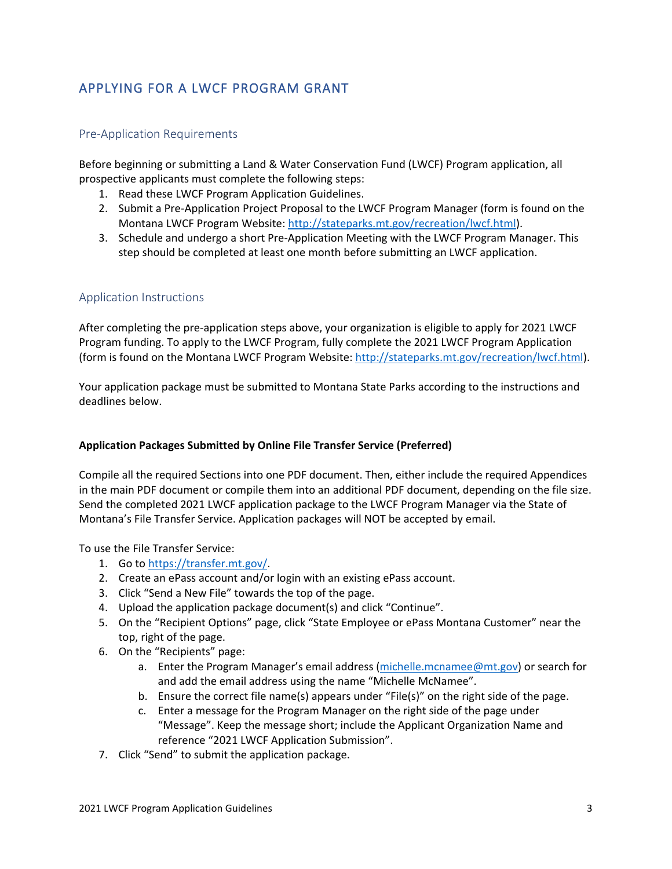# <span id="page-4-0"></span>APPLYING FOR A LWCF PROGRAM GRANT

### <span id="page-4-1"></span>Pre-Application Requirements

Before beginning or submitting a Land & Water Conservation Fund (LWCF) Program application, all prospective applicants must complete the following steps:

- 1. Read these LWCF Program Application Guidelines.
- 2. Submit a Pre-Application Project Proposal to the LWCF Program Manager (form is found on the Montana LWCF Program Website[: http://stateparks.mt.gov/recreation/lwcf.html\)](http://stateparks.mt.gov/recreation/lwcf.html).
- 3. Schedule and undergo a short Pre-Application Meeting with the LWCF Program Manager. This step should be completed at least one month before submitting an LWCF application.

## <span id="page-4-2"></span>Application Instructions

After completing the pre-application steps above, your organization is eligible to apply for 2021 LWCF Program funding. To apply to the LWCF Program, fully complete the 2021 LWCF Program Application (form is found on the Montana LWCF Program Website: [http://stateparks.mt.gov/recreation/lwcf.html\)](http://stateparks.mt.gov/recreation/lwcf.html).

Your application package must be submitted to Montana State Parks according to the instructions and deadlines below.

### **Application Packages Submitted by Online File Transfer Service (Preferred)**

Compile all the required Sections into one PDF document. Then, either include the required Appendices in the main PDF document or compile them into an additional PDF document, depending on the file size. Send the completed 2021 LWCF application package to the LWCF Program Manager via the State of Montana's File Transfer Service. Application packages will NOT be accepted by email.

To use the File Transfer Service:

- 1. Go to [https://transfer.mt.gov/.](https://transfer.mt.gov/)
- 2. Create an ePass account and/or login with an existing ePass account.
- 3. Click "Send a New File" towards the top of the page.
- 4. Upload the application package document(s) and click "Continue".
- 5. On the "Recipient Options" page, click "State Employee or ePass Montana Customer" near the top, right of the page.
- 6. On the "Recipients" page:
	- a. Enter the Program Manager's email address [\(michelle.mcnamee@mt.gov\)](mailto:michelle.mcnamee@mt.gov) or search for and add the email address using the name "Michelle McNamee".
	- b. Ensure the correct file name(s) appears under "File(s)" on the right side of the page.
	- c. Enter a message for the Program Manager on the right side of the page under "Message". Keep the message short; include the Applicant Organization Name and reference "2021 LWCF Application Submission".
- 7. Click "Send" to submit the application package.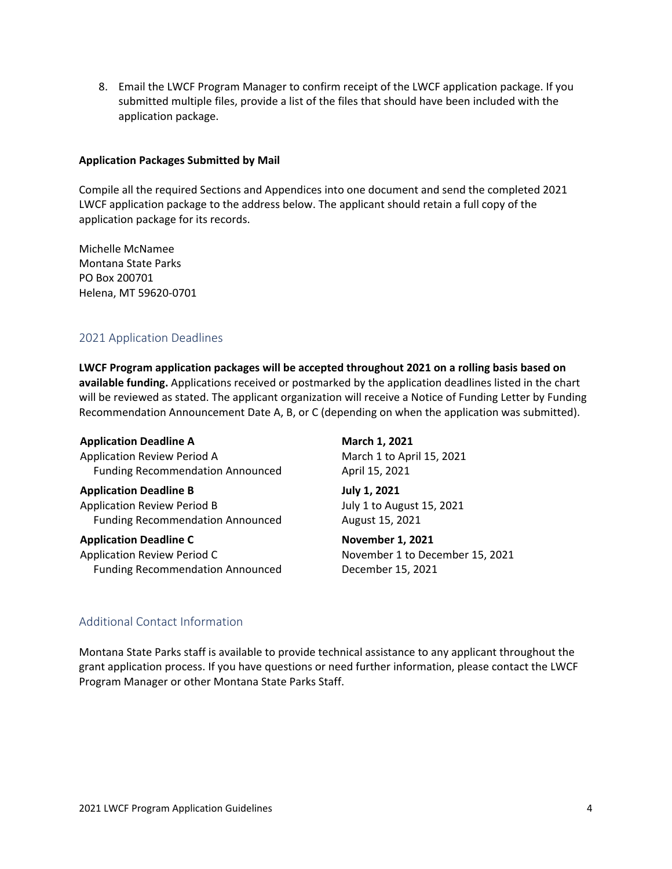8. Email the LWCF Program Manager to confirm receipt of the LWCF application package. If you submitted multiple files, provide a list of the files that should have been included with the application package.

### **Application Packages Submitted by Mail**

Compile all the required Sections and Appendices into one document and send the completed 2021 LWCF application package to the address below. The applicant should retain a full copy of the application package for its records.

Michelle McNamee Montana State Parks PO Box 200701 Helena, MT 59620-0701

## <span id="page-5-0"></span>2021 Application Deadlines

**LWCF Program application packages will be accepted throughout 2021 on a rolling basis based on available funding.** Applications received or postmarked by the application deadlines listed in the chart will be reviewed as stated. The applicant organization will receive a Notice of Funding Letter by Funding Recommendation Announcement Date A, B, or C (depending on when the application was submitted).

#### **Application Deadline A March 1, 2021**

Application Review Period A March 1 to April 15, 2021 Funding Recommendation Announced April 15, 2021

**Application Deadline B July 1, 2021** Application Review Period B July 1 to August 15, 2021 Funding Recommendation Announced August 15, 2021

# Application Deadline C<br>
November 1, 2021

Application Review Period C November 1 to December 15, 2021 Funding Recommendation Announced December 15, 2021

## <span id="page-5-1"></span>Additional Contact Information

Montana State Parks staff is available to provide technical assistance to any applicant throughout the grant application process. If you have questions or need further information, please contact the LWCF Program Manager or other Montana State Parks Staff.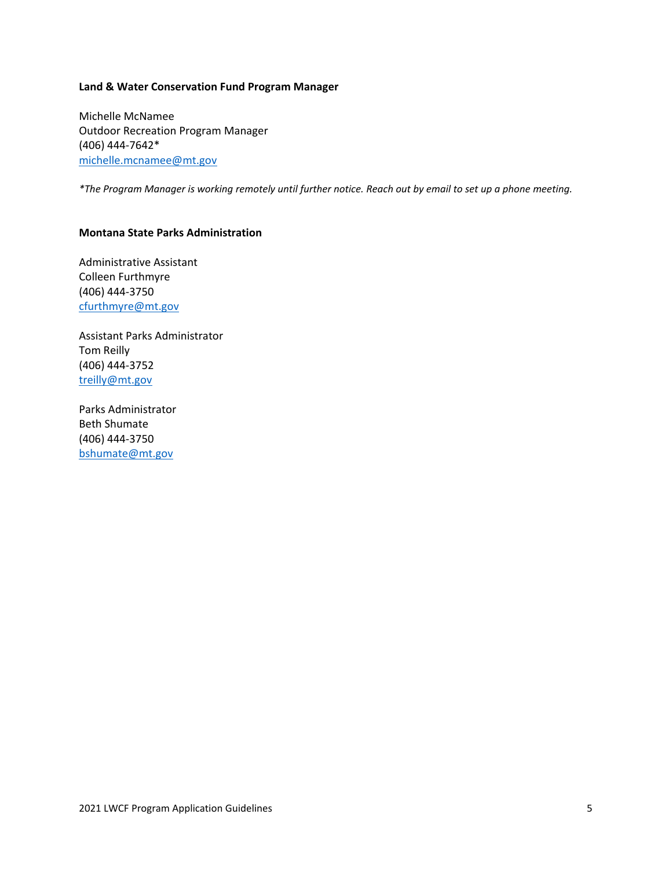#### **Land & Water Conservation Fund Program Manager**

Michelle McNamee Outdoor Recreation Program Manager (406) 444-7642\* [michelle.mcnamee@mt.gov](mailto:michelle.mcnamee@mt.gov)

*\*The Program Manager is working remotely until further notice. Reach out by email to set up a phone meeting.*

### **Montana State Parks Administration**

Administrative Assistant Colleen Furthmyre (406) 444-3750 [cfurthmyre@mt.gov](mailto:cfurthmyre@mt.gov)

Assistant Parks Administrator Tom Reilly (406) 444-3752 [treilly@mt.gov](mailto:treilly@mt.gov)

Parks Administrator Beth Shumate (406) 444-3750 [bshumate@mt.gov](mailto:bshumate@mt.gov)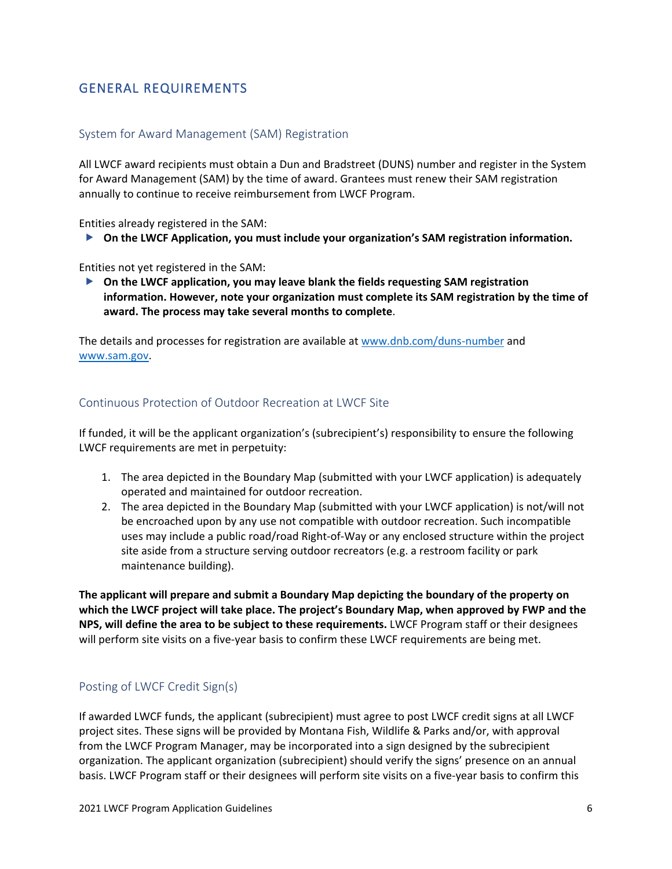# <span id="page-7-0"></span>GENERAL REQUIREMENTS

### <span id="page-7-1"></span>System for Award Management (SAM) Registration

All LWCF award recipients must obtain a Dun and Bradstreet (DUNS) number and register in the System for Award Management (SAM) by the time of award. Grantees must renew their SAM registration annually to continue to receive reimbursement from LWCF Program.

Entities already registered in the SAM:

**On the LWCF Application, you must include your organization's SAM registration information.** 

Entities not yet registered in the SAM:

 **On the LWCF application, you may leave blank the fields requesting SAM registration information. However, note your organization must complete its SAM registration by the time of award. The process may take several months to complete**.

The details and processes for registration are available at [www.dnb.com/duns-number](http://www.dnb.com/duns-number) and [www.sam.gov.](http://www.sam.gov/)

### <span id="page-7-2"></span>Continuous Protection of Outdoor Recreation at LWCF Site

If funded, it will be the applicant organization's (subrecipient's) responsibility to ensure the following LWCF requirements are met in perpetuity:

- 1. The area depicted in the Boundary Map (submitted with your LWCF application) is adequately operated and maintained for outdoor recreation.
- 2. The area depicted in the Boundary Map (submitted with your LWCF application) is not/will not be encroached upon by any use not compatible with outdoor recreation. Such incompatible uses may include a public road/road Right-of-Way or any enclosed structure within the project site aside from a structure serving outdoor recreators (e.g. a restroom facility or park maintenance building).

**The applicant will prepare and submit a Boundary Map depicting the boundary of the property on which the LWCF project will take place. The project's Boundary Map, when approved by FWP and the NPS, will define the area to be subject to these requirements.** LWCF Program staff or their designees will perform site visits on a five-year basis to confirm these LWCF requirements are being met.

### <span id="page-7-3"></span>Posting of LWCF Credit Sign(s)

If awarded LWCF funds, the applicant (subrecipient) must agree to post LWCF credit signs at all LWCF project sites. These signs will be provided by Montana Fish, Wildlife & Parks and/or, with approval from the LWCF Program Manager, may be incorporated into a sign designed by the subrecipient organization. The applicant organization (subrecipient) should verify the signs' presence on an annual basis. LWCF Program staff or their designees will perform site visits on a five-year basis to confirm this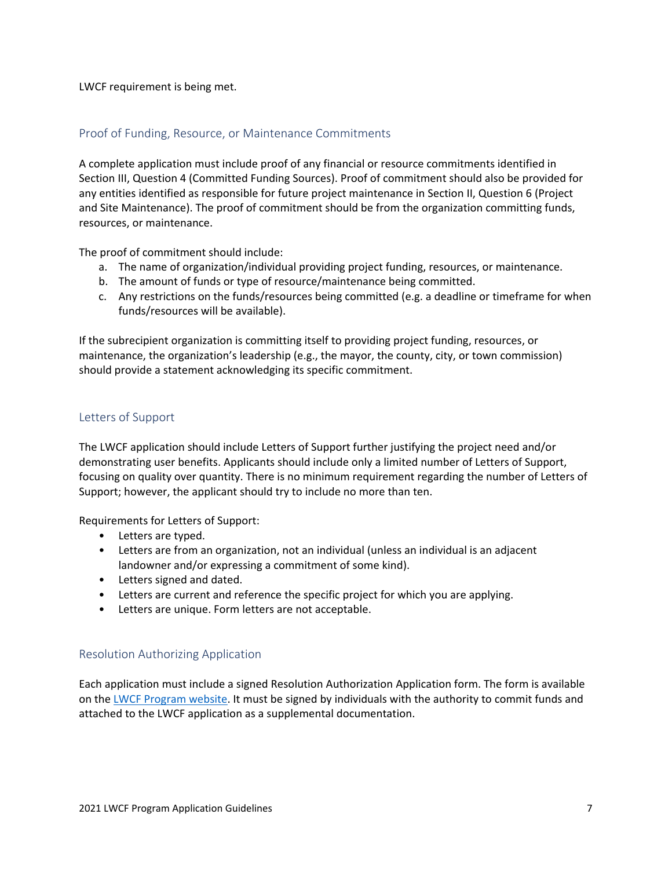LWCF requirement is being met.

### <span id="page-8-0"></span>Proof of Funding, Resource, or Maintenance Commitments

A complete application must include proof of any financial or resource commitments identified in Section III, Question 4 (Committed Funding Sources). Proof of commitment should also be provided for any entities identified as responsible for future project maintenance in Section II, Question 6 (Project and Site Maintenance). The proof of commitment should be from the organization committing funds, resources, or maintenance.

The proof of commitment should include:

- a. The name of organization/individual providing project funding, resources, or maintenance.
- b. The amount of funds or type of resource/maintenance being committed.
- c. Any restrictions on the funds/resources being committed (e.g. a deadline or timeframe for when funds/resources will be available).

If the subrecipient organization is committing itself to providing project funding, resources, or maintenance, the organization's leadership (e.g., the mayor, the county, city, or town commission) should provide a statement acknowledging its specific commitment.

### <span id="page-8-1"></span>Letters of Support

The LWCF application should include Letters of Support further justifying the project need and/or demonstrating user benefits. Applicants should include only a limited number of Letters of Support, focusing on quality over quantity. There is no minimum requirement regarding the number of Letters of Support; however, the applicant should try to include no more than ten.

Requirements for Letters of Support:

- Letters are typed.
- Letters are from an organization, not an individual (unless an individual is an adjacent landowner and/or expressing a commitment of some kind).
- Letters signed and dated.
- Letters are current and reference the specific project for which you are applying.
- Letters are unique. Form letters are not acceptable.

### <span id="page-8-2"></span>Resolution Authorizing Application

Each application must include a signed Resolution Authorization Application form. The form is available on the [LWCF Program website.](http://stateparks.mt.gov/recreation/lwcf.html) It must be signed by individuals with the authority to commit funds and attached to the LWCF application as a supplemental documentation.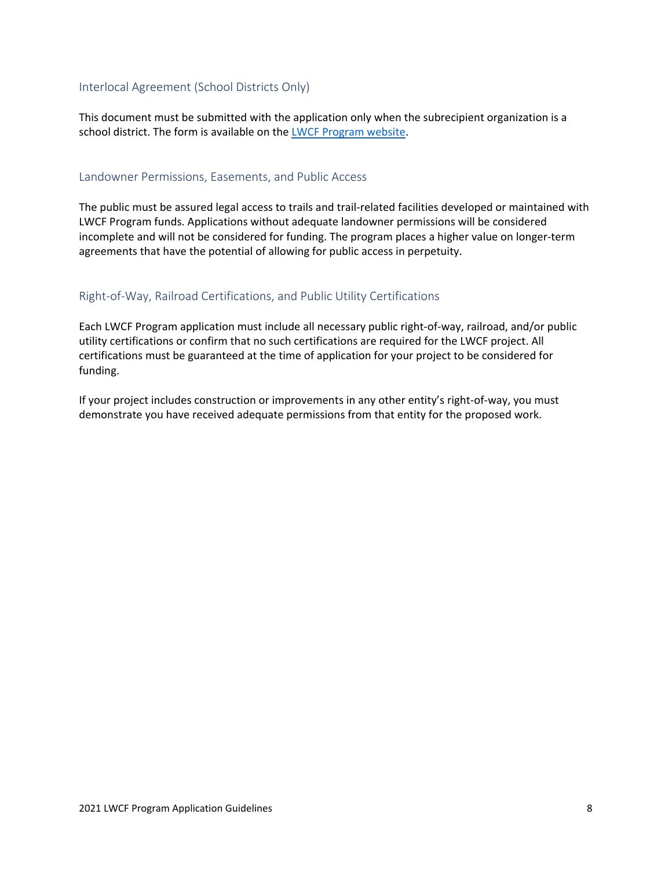## <span id="page-9-0"></span>Interlocal Agreement (School Districts Only)

This document must be submitted with the application only when the subrecipient organization is a school district. The form is available on the [LWCF Program website.](http://stateparks.mt.gov/recreation/lwcf.html)

### <span id="page-9-1"></span>Landowner Permissions, Easements, and Public Access

The public must be assured legal access to trails and trail-related facilities developed or maintained with LWCF Program funds. Applications without adequate landowner permissions will be considered incomplete and will not be considered for funding. The program places a higher value on longer-term agreements that have the potential of allowing for public access in perpetuity.

## <span id="page-9-2"></span>Right-of-Way, Railroad Certifications, and Public Utility Certifications

Each LWCF Program application must include all necessary public right-of-way, railroad, and/or public utility certifications or confirm that no such certifications are required for the LWCF project. All certifications must be guaranteed at the time of application for your project to be considered for funding.

If your project includes construction or improvements in any other entity's right-of-way, you must demonstrate you have received adequate permissions from that entity for the proposed work.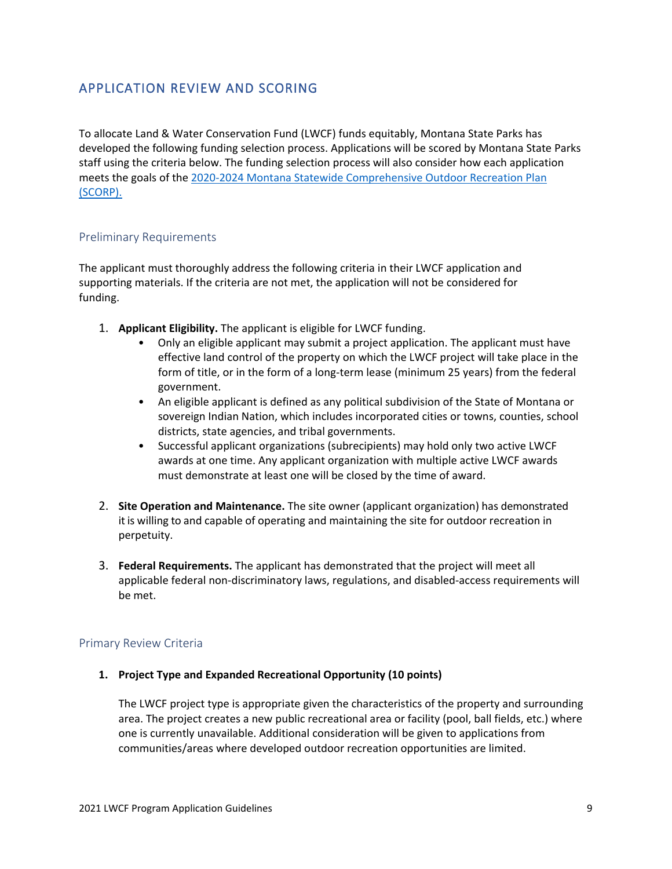# <span id="page-10-0"></span>APPLICATION REVIEW AND SCORING

<span id="page-10-3"></span>To allocate Land & Water Conservation Fund (LWCF) funds equitably, Montana State Parks has developed the following funding selection process. Applications will be scored by Montana State Parks staff using the criteria below. The funding selection process will also consider how each application meets the goals of the [2020-2024 Montana Statewide Comprehensive Outdoor Recreation Plan](https://files.cfc.umt.edu/humandimensionslab/SCORP_2020-2024.pdf)  [\(SCORP\).](https://files.cfc.umt.edu/humandimensionslab/SCORP_2020-2024.pdf)

## <span id="page-10-1"></span>Preliminary Requirements

The applicant must thoroughly address the following criteria in their LWCF application and supporting materials. If the criteria are not met, the application will not be considered for funding.

- 1. **Applicant Eligibility.** The applicant is eligible for LWCF funding.
	- Only an eligible applicant may submit a project application. The applicant must have effective land control of the property on which the LWCF project will take place in the form of title, or in the form of a long-term lease (minimum 25 years) from the federal government.
	- An eligible applicant is defined as any political subdivision of the State of Montana or sovereign Indian Nation, which includes incorporated cities or towns, counties, school districts, state agencies, and tribal governments.
	- Successful applicant organizations (subrecipients) may hold only two active LWCF awards at one time. Any applicant organization with multiple active LWCF awards must demonstrate at least one will be closed by the time of award.
- 2. **Site Operation and Maintenance.** The site owner (applicant organization) has demonstrated it is willing to and capable of operating and maintaining the site for outdoor recreation in perpetuity.
- 3. **Federal Requirements.** The applicant has demonstrated that the project will meet all applicable federal non-discriminatory laws, regulations, and disabled-access requirements will be met.

## <span id="page-10-2"></span>Primary Review Criteria

### **1. Project Type and Expanded Recreational Opportunity (10 points)**

The LWCF project type is appropriate given the characteristics of the property and surrounding area. The project creates a new public recreational area or facility (pool, ball fields, etc.) where one is currently unavailable. Additional consideration will be given to applications from communities/areas where developed outdoor recreation opportunities are limited.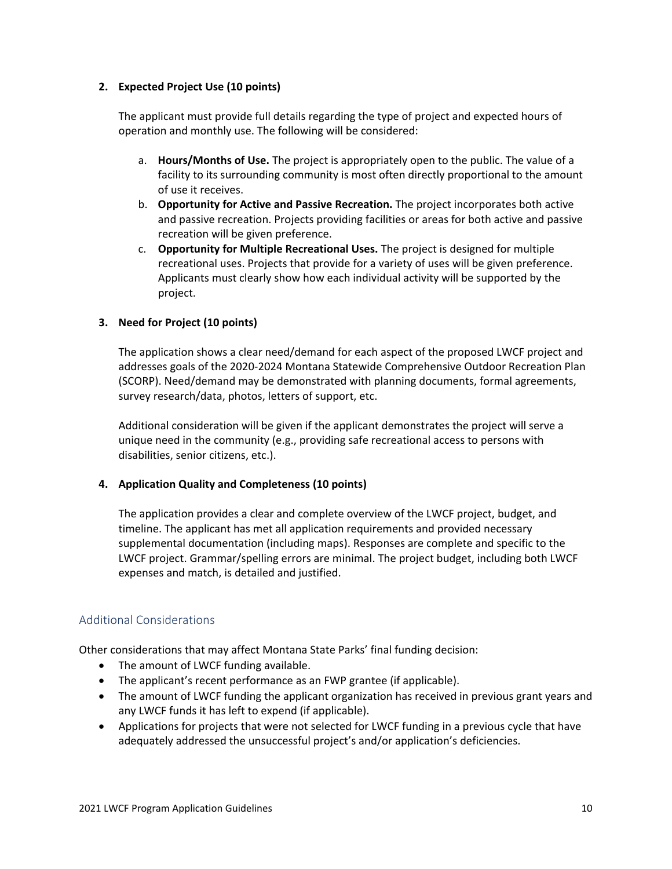## **2. Expected Project Use (10 points)**

The applicant must provide full details regarding the type of project and expected hours of operation and monthly use. The following will be considered:

- a. **Hours/Months of Use.** The project is appropriately open to the public. The value of a facility to its surrounding community is most often directly proportional to the amount of use it receives.
- b. **Opportunity for Active and Passive Recreation.** The project incorporates both active and passive recreation. Projects providing facilities or areas for both active and passive recreation will be given preference.
- c. **Opportunity for Multiple Recreational Uses.** The project is designed for multiple recreational uses. Projects that provide for a variety of uses will be given preference. Applicants must clearly show how each individual activity will be supported by the project.

## **3. Need for Project (10 points)**

The application shows a clear need/demand for each aspect of the proposed LWCF project and addresses goals of the 2020-2024 Montana Statewide Comprehensive Outdoor Recreation Plan (SCORP). Need/demand may be demonstrated with planning documents, formal agreements, survey research/data, photos, letters of support, etc.

Additional consideration will be given if the applicant demonstrates the project will serve a unique need in the community (e.g., providing safe recreational access to persons with disabilities, senior citizens, etc.).

### **4. Application Quality and Completeness (10 points)**

The application provides a clear and complete overview of the LWCF project, budget, and timeline. The applicant has met all application requirements and provided necessary supplemental documentation (including maps). Responses are complete and specific to the LWCF project. Grammar/spelling errors are minimal. The project budget, including both LWCF expenses and match, is detailed and justified.

## <span id="page-11-0"></span>Additional Considerations

Other considerations that may affect Montana State Parks' final funding decision:

- The amount of LWCF funding available.
- The applicant's recent performance as an FWP grantee (if applicable).
- The amount of LWCF funding the applicant organization has received in previous grant years and any LWCF funds it has left to expend (if applicable).
- Applications for projects that were not selected for LWCF funding in a previous cycle that have adequately addressed the unsuccessful project's and/or application's deficiencies.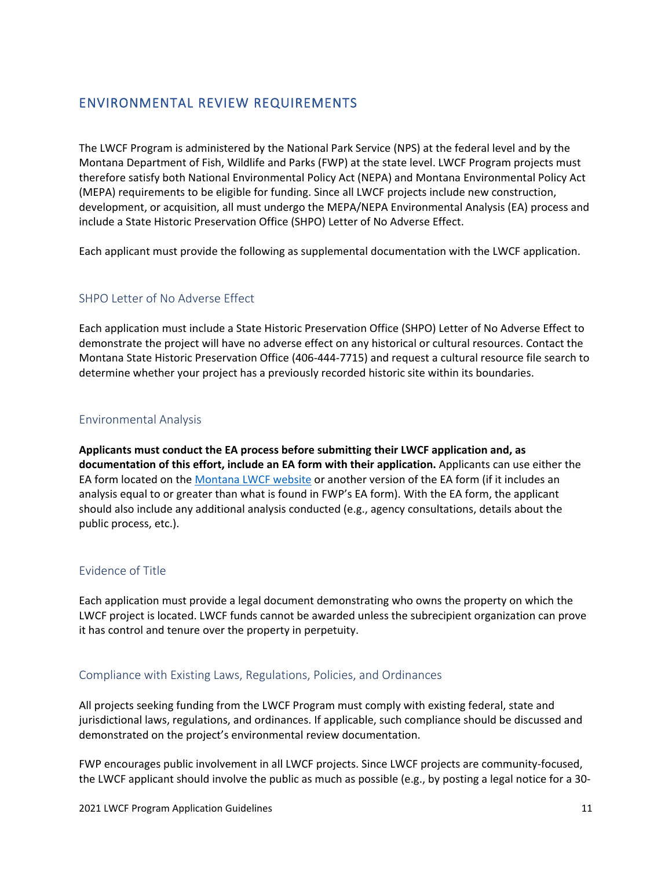# <span id="page-12-0"></span>ENVIRONMENTAL REVIEW REQUIREMENTS

The LWCF Program is administered by the National Park Service (NPS) at the federal level and by the Montana Department of Fish, Wildlife and Parks (FWP) at the state level. LWCF Program projects must therefore satisfy both National Environmental Policy Act (NEPA) and Montana Environmental Policy Act (MEPA) requirements to be eligible for funding. Since all LWCF projects include new construction, development, or acquisition, all must undergo the MEPA/NEPA Environmental Analysis (EA) process and include a State Historic Preservation Office (SHPO) Letter of No Adverse Effect.

Each applicant must provide the following as supplemental documentation with the LWCF application.

# <span id="page-12-1"></span>SHPO Letter of No Adverse Effect

Each application must include a State Historic Preservation Office (SHPO) Letter of No Adverse Effect to demonstrate the project will have no adverse effect on any historical or cultural resources. Contact the Montana State Historic Preservation Office (406-444-7715) and request a cultural resource file search to determine whether your project has a previously recorded historic site within its boundaries.

## <span id="page-12-2"></span>Environmental Analysis

**Applicants must conduct the EA process before submitting their LWCF application and, as documentation of this effort, include an EA form with their application.** Applicants can use either the EA form located on th[e Montana LWCF website](http://stateparks.mt.gov/recreation/lwcf.html) or another version of the EA form (if it includes an analysis equal to or greater than what is found in FWP's EA form). With the EA form, the applicant should also include any additional analysis conducted (e.g., agency consultations, details about the public process, etc.).

## <span id="page-12-3"></span>Evidence of Title

Each application must provide a legal document demonstrating who owns the property on which the LWCF project is located. LWCF funds cannot be awarded unless the subrecipient organization can prove it has control and tenure over the property in perpetuity.

## <span id="page-12-4"></span>Compliance with Existing Laws, Regulations, Policies, and Ordinances

All projects seeking funding from the LWCF Program must comply with existing federal, state and jurisdictional laws, regulations, and ordinances. If applicable, such compliance should be discussed and demonstrated on the project's environmental review documentation.

FWP encourages public involvement in all LWCF projects. Since LWCF projects are community-focused, the LWCF applicant should involve the public as much as possible (e.g., by posting a legal notice for a 30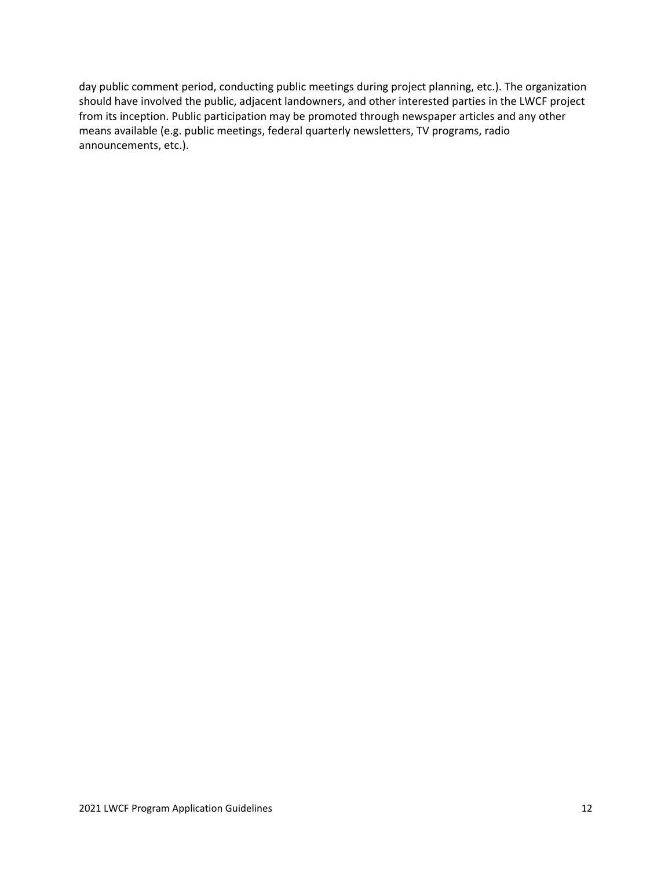day public comment period, conducting public meetings during project planning, etc.). The organization should have involved the public, adjacent landowners, and other interested parties in the LWCF project from its inception. Public participation may be promoted through newspaper articles and any other means available (e.g. public meetings, federal quarterly newsletters, TV programs, radio announcements, etc.).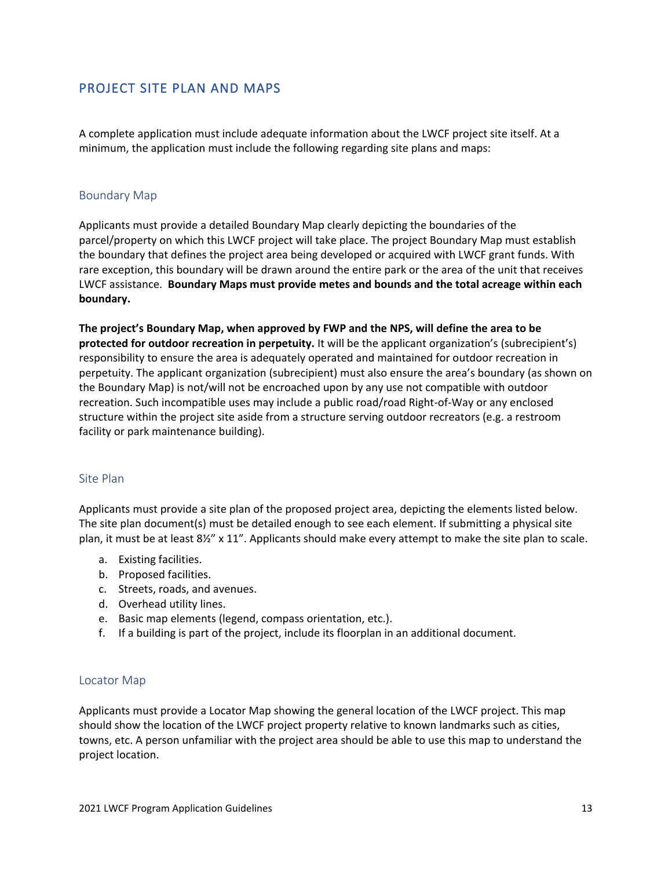# <span id="page-14-0"></span>PROJECT SITE PLAN AND MAPS

A complete application must include adequate information about the LWCF project site itself. At a minimum, the application must include the following regarding site plans and maps:

### <span id="page-14-1"></span>Boundary Map

Applicants must provide a detailed Boundary Map clearly depicting the boundaries of the parcel/property on which this LWCF project will take place. The project Boundary Map must establish the boundary that defines the project area being developed or acquired with LWCF grant funds. With rare exception, this boundary will be drawn around the entire park or the area of the unit that receives LWCF assistance. **Boundary Maps must provide metes and bounds and the total acreage within each boundary.**

**The project's Boundary Map, when approved by FWP and the NPS, will define the area to be protected for outdoor recreation in perpetuity.** It will be the applicant organization's (subrecipient's) responsibility to ensure the area is adequately operated and maintained for outdoor recreation in perpetuity. The applicant organization (subrecipient) must also ensure the area's boundary (as shown on the Boundary Map) is not/will not be encroached upon by any use not compatible with outdoor recreation. Such incompatible uses may include a public road/road Right-of-Way or any enclosed structure within the project site aside from a structure serving outdoor recreators (e.g. a restroom facility or park maintenance building).

### <span id="page-14-2"></span>Site Plan

Applicants must provide a site plan of the proposed project area, depicting the elements listed below. The site plan document(s) must be detailed enough to see each element. If submitting a physical site plan, it must be at least 8½" x 11". Applicants should make every attempt to make the site plan to scale.

- a. Existing facilities.
- b. Proposed facilities.
- c. Streets, roads, and avenues.
- d. Overhead utility lines.
- e. Basic map elements (legend, compass orientation, etc.).
- f. If a building is part of the project, include its floorplan in an additional document.

### <span id="page-14-3"></span>Locator Map

Applicants must provide a Locator Map showing the general location of the LWCF project. This map should show the location of the LWCF project property relative to known landmarks such as cities, towns, etc. A person unfamiliar with the project area should be able to use this map to understand the project location.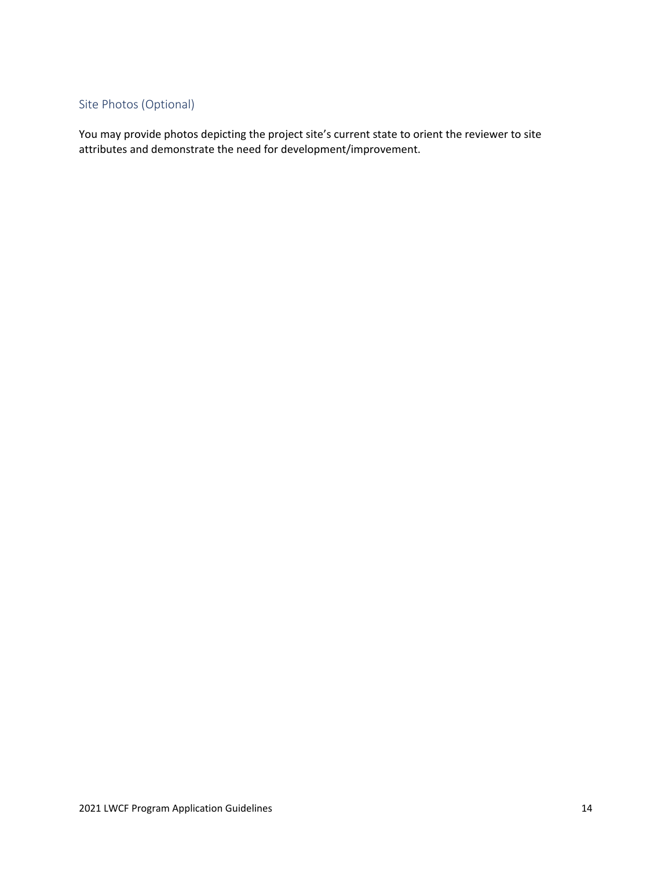# <span id="page-15-0"></span>Site Photos (Optional)

You may provide photos depicting the project site's current state to orient the reviewer to site attributes and demonstrate the need for development/improvement.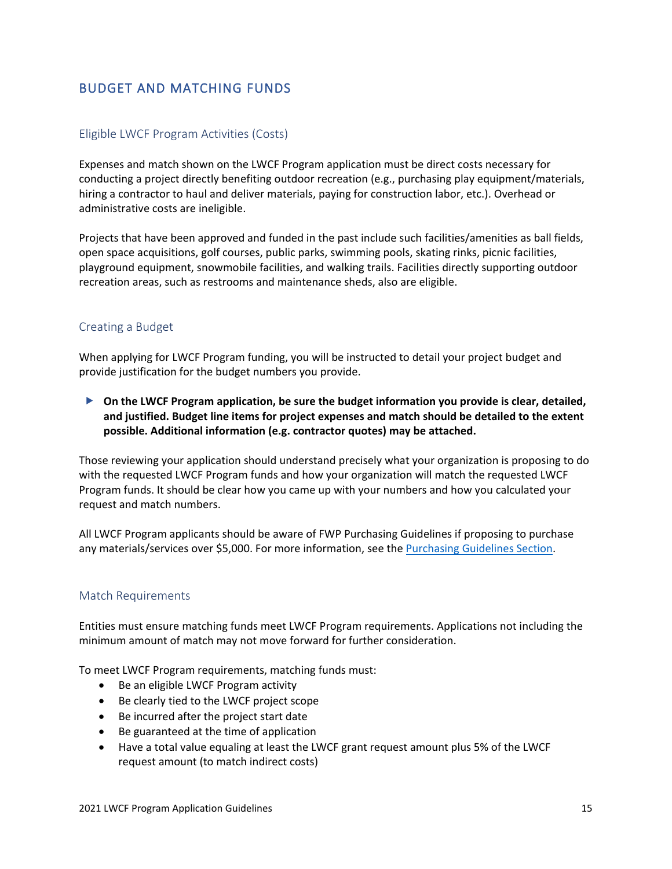# <span id="page-16-0"></span>BUDGET AND MATCHING FUNDS

## <span id="page-16-1"></span>Eligible LWCF Program Activities (Costs)

Expenses and match shown on the LWCF Program application must be direct costs necessary for conducting a project directly benefiting outdoor recreation (e.g., purchasing play equipment/materials, hiring a contractor to haul and deliver materials, paying for construction labor, etc.). Overhead or administrative costs are ineligible.

Projects that have been approved and funded in the past include such facilities/amenities as ball fields, open space acquisitions, golf courses, public parks, swimming pools, skating rinks, picnic facilities, playground equipment, snowmobile facilities, and walking trails. Facilities directly supporting outdoor recreation areas, such as restrooms and maintenance sheds, also are eligible.

### <span id="page-16-2"></span>Creating a Budget

When applying for LWCF Program funding, you will be instructed to detail your project budget and provide justification for the budget numbers you provide.

 **On the LWCF Program application, be sure the budget information you provide is clear, detailed, and justified. Budget line items for project expenses and match should be detailed to the extent possible. Additional information (e.g. contractor quotes) may be attached.**

Those reviewing your application should understand precisely what your organization is proposing to do with the requested LWCF Program funds and how your organization will match the requested LWCF Program funds. It should be clear how you came up with your numbers and how you calculated your request and match numbers.

All LWCF Program applicants should be aware of FWP Purchasing Guidelines if proposing to purchase any materials/services over \$5,000. For more information, see the Purchasing Guidelines Section.

### <span id="page-16-3"></span>Match Requirements

Entities must ensure matching funds meet LWCF Program requirements. Applications not including the minimum amount of match may not move forward for further consideration.

To meet LWCF Program requirements, matching funds must:

- Be an eligible LWCF Program activity
- Be clearly tied to the LWCF project scope
- Be incurred after the project start date
- Be guaranteed at the time of application
- Have a total value equaling at least the LWCF grant request amount plus 5% of the LWCF request amount (to match indirect costs)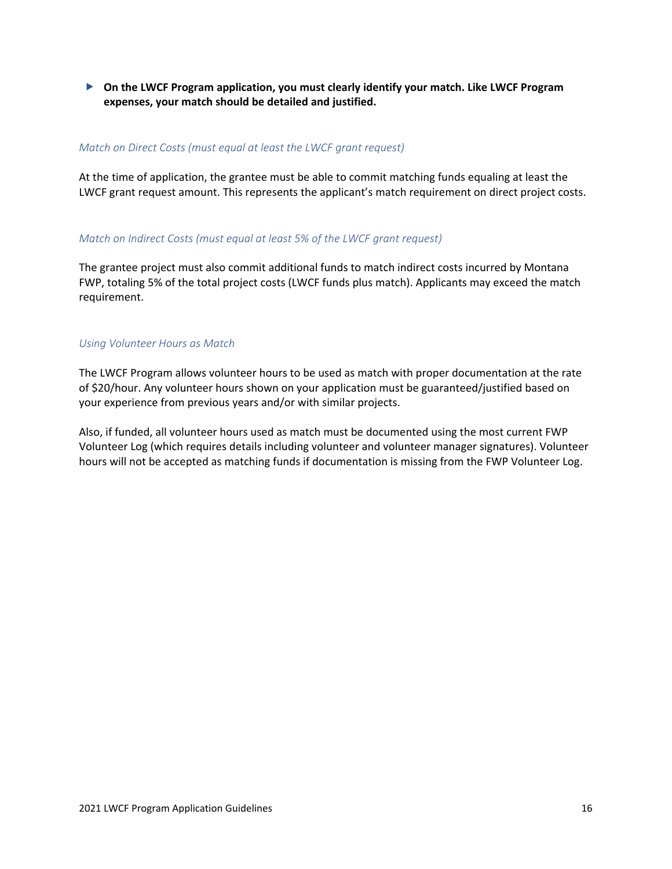**On the LWCF Program application, you must clearly identify your match. Like LWCF Program expenses, your match should be detailed and justified.**

#### *Match on Direct Costs (must equal at least the LWCF grant request)*

At the time of application, the grantee must be able to commit matching funds equaling at least the LWCF grant request amount. This represents the applicant's match requirement on direct project costs.

#### *Match on Indirect Costs (must equal at least 5% of the LWCF grant request)*

The grantee project must also commit additional funds to match indirect costs incurred by Montana FWP, totaling 5% of the total project costs (LWCF funds plus match). Applicants may exceed the match requirement.

#### *Using Volunteer Hours as Match*

The LWCF Program allows volunteer hours to be used as match with proper documentation at the rate of \$20/hour. Any volunteer hours shown on your application must be guaranteed/justified based on your experience from previous years and/or with similar projects.

Also, if funded, all volunteer hours used as match must be documented using the most current FWP Volunteer Log (which requires details including volunteer and volunteer manager signatures). Volunteer hours will not be accepted as matching funds if documentation is missing from the FWP Volunteer Log.